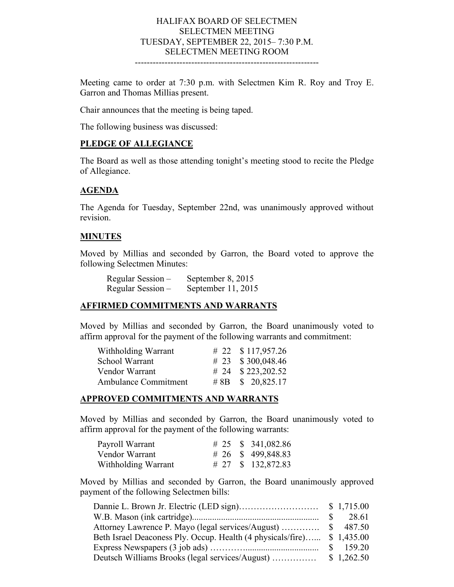#### HALIFAX BOARD OF SELECTMEN SELECTMEN MEETING TUESDAY, SEPTEMBER 22, 2015– 7:30 P.M. SELECTMEN MEETING ROOM --------------------------------------------------------------

Meeting came to order at 7:30 p.m. with Selectmen Kim R. Roy and Troy E. Garron and Thomas Millias present.

Chair announces that the meeting is being taped.

The following business was discussed:

#### **PLEDGE OF ALLEGIANCE**

The Board as well as those attending tonight's meeting stood to recite the Pledge of Allegiance.

#### **AGENDA**

The Agenda for Tuesday, September 22nd, was unanimously approved without revision.

#### **MINUTES**

Moved by Millias and seconded by Garron, the Board voted to approve the following Selectmen Minutes:

| Regular Session – | September 8, 2015  |
|-------------------|--------------------|
| Regular Session – | September 11, 2015 |

#### **AFFIRMED COMMITMENTS AND WARRANTS**

Moved by Millias and seconded by Garron, the Board unanimously voted to affirm approval for the payment of the following warrants and commitment:

| Withholding Warrant  | # 22 $$117,957.26$  |
|----------------------|---------------------|
| School Warrant       | # 23 $$300,048.46$  |
| Vendor Warrant       | # 24 $$223,202.52$  |
| Ambulance Commitment | # 8B \ \$ 20,825.17 |

#### **APPROVED COMMITMENTS AND WARRANTS**

Moved by Millias and seconded by Garron, the Board unanimously voted to affirm approval for the payment of the following warrants:

| Payroll Warrant     |  | # 25 $\,$ \$ 341,082.86 |
|---------------------|--|-------------------------|
| Vendor Warrant      |  | # 26 $\,$ \$ 499,848.83 |
| Withholding Warrant |  | # 27 \, \$ 132,872.83   |

Moved by Millias and seconded by Garron, the Board unanimously approved payment of the following Selectmen bills:

|                                                                         | $\mathbb{S}$ | 28.61      |
|-------------------------------------------------------------------------|--------------|------------|
|                                                                         |              |            |
| Beth Israel Deaconess Ply. Occup. Health (4 physicals/fire) \$ 1,435.00 |              |            |
|                                                                         |              |            |
| Deutsch Williams Brooks (legal services/August)                         |              | \$1,262.50 |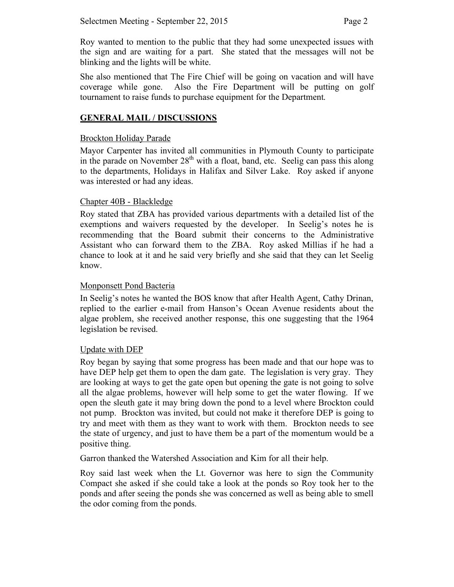Roy wanted to mention to the public that they had some unexpected issues with the sign and are waiting for a part. She stated that the messages will not be blinking and the lights will be white.

She also mentioned that The Fire Chief will be going on vacation and will have coverage while gone. Also the Fire Department will be putting on golf tournament to raise funds to purchase equipment for the Department.

# **GENERAL MAIL / DISCUSSIONS**

## Brockton Holiday Parade

Mayor Carpenter has invited all communities in Plymouth County to participate in the parade on November  $28<sup>th</sup>$  with a float, band, etc. Seelig can pass this along to the departments, Holidays in Halifax and Silver Lake. Roy asked if anyone was interested or had any ideas.

## Chapter 40B - Blackledge

Roy stated that ZBA has provided various departments with a detailed list of the exemptions and waivers requested by the developer. In Seelig's notes he is recommending that the Board submit their concerns to the Administrative Assistant who can forward them to the ZBA. Roy asked Millias if he had a chance to look at it and he said very briefly and she said that they can let Seelig know.

## Monponsett Pond Bacteria

In Seelig's notes he wanted the BOS know that after Health Agent, Cathy Drinan, replied to the earlier e-mail from Hanson's Ocean Avenue residents about the algae problem, she received another response, this one suggesting that the 1964 legislation be revised.

### Update with DEP

Roy began by saying that some progress has been made and that our hope was to have DEP help get them to open the dam gate. The legislation is very gray. They are looking at ways to get the gate open but opening the gate is not going to solve all the algae problems, however will help some to get the water flowing. If we open the sleuth gate it may bring down the pond to a level where Brockton could not pump. Brockton was invited, but could not make it therefore DEP is going to try and meet with them as they want to work with them. Brockton needs to see the state of urgency, and just to have them be a part of the momentum would be a positive thing.

Garron thanked the Watershed Association and Kim for all their help.

Roy said last week when the Lt. Governor was here to sign the Community Compact she asked if she could take a look at the ponds so Roy took her to the ponds and after seeing the ponds she was concerned as well as being able to smell the odor coming from the ponds.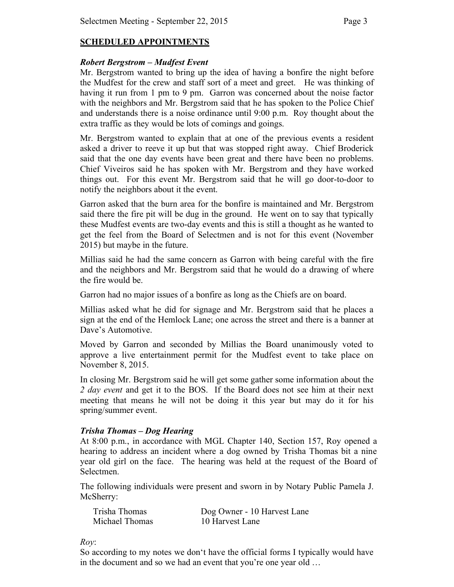# **SCHEDULED APPOINTMENTS**

## *Robert Bergstrom – Mudfest Event*

Mr. Bergstrom wanted to bring up the idea of having a bonfire the night before the Mudfest for the crew and staff sort of a meet and greet. He was thinking of having it run from 1 pm to 9 pm. Garron was concerned about the noise factor with the neighbors and Mr. Bergstrom said that he has spoken to the Police Chief and understands there is a noise ordinance until 9:00 p.m. Roy thought about the extra traffic as they would be lots of comings and goings.

Mr. Bergstrom wanted to explain that at one of the previous events a resident asked a driver to reeve it up but that was stopped right away. Chief Broderick said that the one day events have been great and there have been no problems. Chief Viveiros said he has spoken with Mr. Bergstrom and they have worked things out. For this event Mr. Bergstrom said that he will go door-to-door to notify the neighbors about it the event.

Garron asked that the burn area for the bonfire is maintained and Mr. Bergstrom said there the fire pit will be dug in the ground. He went on to say that typically these Mudfest events are two-day events and this is still a thought as he wanted to get the feel from the Board of Selectmen and is not for this event (November 2015) but maybe in the future.

Millias said he had the same concern as Garron with being careful with the fire and the neighbors and Mr. Bergstrom said that he would do a drawing of where the fire would be.

Garron had no major issues of a bonfire as long as the Chiefs are on board.

Millias asked what he did for signage and Mr. Bergstrom said that he places a sign at the end of the Hemlock Lane; one across the street and there is a banner at Dave's Automotive.

Moved by Garron and seconded by Millias the Board unanimously voted to approve a live entertainment permit for the Mudfest event to take place on November 8, 2015.

In closing Mr. Bergstrom said he will get some gather some information about the *2 day event* and get it to the BOS. If the Board does not see him at their next meeting that means he will not be doing it this year but may do it for his spring/summer event.

### *Trisha Thomas – Dog Hearing*

At 8:00 p.m., in accordance with MGL Chapter 140, Section 157, Roy opened a hearing to address an incident where a dog owned by Trisha Thomas bit a nine year old girl on the face. The hearing was held at the request of the Board of Selectmen.

The following individuals were present and sworn in by Notary Public Pamela J. McSherry:

| Trisha Thomas  | Dog Owner - 10 Harvest Lane |
|----------------|-----------------------------|
| Michael Thomas | 10 Harvest Lane             |

*Roy*:

So according to my notes we don't have the official forms I typically would have in the document and so we had an event that you're one year old …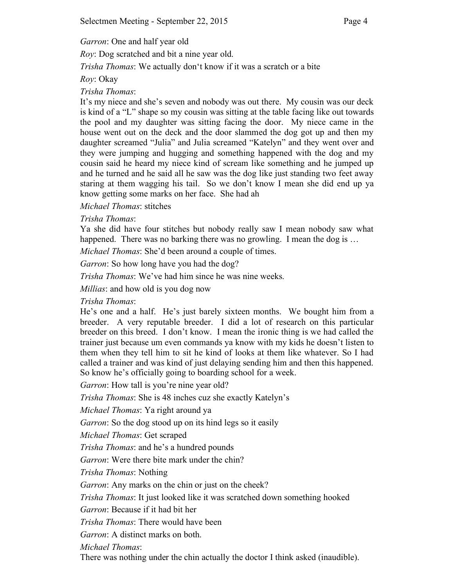*Garron*: One and half year old

*Roy*: Dog scratched and bit a nine year old.

*Trisha Thomas*: We actually don't know if it was a scratch or a bite

# *Roy*: Okay

# *Trisha Thomas*:

It's my niece and she's seven and nobody was out there. My cousin was our deck is kind of a "L" shape so my cousin was sitting at the table facing like out towards the pool and my daughter was sitting facing the door. My niece came in the house went out on the deck and the door slammed the dog got up and then my daughter screamed "Julia" and Julia screamed "Katelyn" and they went over and they were jumping and hugging and something happened with the dog and my cousin said he heard my niece kind of scream like something and he jumped up and he turned and he said all he saw was the dog like just standing two feet away staring at them wagging his tail. So we don't know I mean she did end up ya know getting some marks on her face. She had ah

# *Michael Thomas*: stitches

# *Trisha Thomas*:

Ya she did have four stitches but nobody really saw I mean nobody saw what happened. There was no barking there was no growling. I mean the dog is ...

*Michael Thomas*: She'd been around a couple of times.

*Garron*: So how long have you had the dog?

*Trisha Thomas*: We've had him since he was nine weeks.

*Millias*: and how old is you dog now

*Trisha Thomas*:

He's one and a half. He's just barely sixteen months. We bought him from a breeder. A very reputable breeder. I did a lot of research on this particular breeder on this breed. I don't know. I mean the ironic thing is we had called the trainer just because um even commands ya know with my kids he doesn't listen to them when they tell him to sit he kind of looks at them like whatever. So I had called a trainer and was kind of just delaying sending him and then this happened. So know he's officially going to boarding school for a week.

*Garron*: How tall is you're nine year old?

*Trisha Thomas*: She is 48 inches cuz she exactly Katelyn's

*Michael Thomas*: Ya right around ya

*Garron*: So the dog stood up on its hind legs so it easily

*Michael Thomas*: Get scraped

*Trisha Thomas*: and he's a hundred pounds

*Garron*: Were there bite mark under the chin?

*Trisha Thomas*: Nothing

*Garron*: Any marks on the chin or just on the cheek?

*Trisha Thomas*: It just looked like it was scratched down something hooked

*Garron*: Because if it had bit her

*Trisha Thomas*: There would have been

*Garron*: A distinct marks on both.

*Michael Thomas*:

There was nothing under the chin actually the doctor I think asked (inaudible).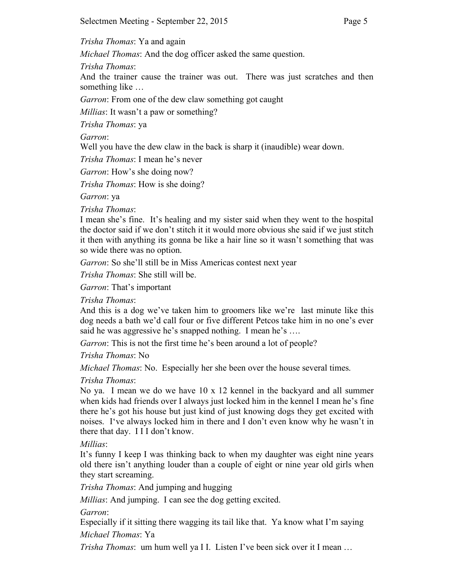*Trisha Thomas*: Ya and again

*Michael Thomas*: And the dog officer asked the same question.

*Trisha Thomas*:

And the trainer cause the trainer was out. There was just scratches and then something like …

*Garron*: From one of the dew claw something got caught

*Millias*: It wasn't a paw or something?

*Trisha Thomas*: ya

*Garron*:

Well you have the dew claw in the back is sharp it (inaudible) wear down.

*Trisha Thomas*: I mean he's never

*Garron*: How's she doing now?

*Trisha Thomas*: How is she doing?

*Garron*: ya

*Trisha Thomas*:

I mean she's fine. It's healing and my sister said when they went to the hospital the doctor said if we don't stitch it it would more obvious she said if we just stitch it then with anything its gonna be like a hair line so it wasn't something that was so wide there was no option.

*Garron*: So she'll still be in Miss Americas contest next year

*Trisha Thomas*: She still will be.

*Garron*: That's important

*Trisha Thomas*:

And this is a dog we've taken him to groomers like we're last minute like this dog needs a bath we'd call four or five different Petcos take him in no one's ever said he was aggressive he's snapped nothing. I mean he's ....

*Garron*: This is not the first time he's been around a lot of people?

*Trisha Thomas*: No

*Michael Thomas*: No. Especially her she been over the house several times.

*Trisha Thomas*:

No ya. I mean we do we have 10 x 12 kennel in the backyard and all summer when kids had friends over I always just locked him in the kennel I mean he's fine there he's got his house but just kind of just knowing dogs they get excited with noises. I've always locked him in there and I don't even know why he wasn't in there that day. I I I don't know.

*Millias*:

It's funny I keep I was thinking back to when my daughter was eight nine years old there isn't anything louder than a couple of eight or nine year old girls when they start screaming.

*Trisha Thomas*: And jumping and hugging

*Millias*: And jumping. I can see the dog getting excited.

*Garron*:

Especially if it sitting there wagging its tail like that. Ya know what I'm saying *Michael Thomas*: Ya

*Trisha Thomas*: um hum well ya I I. Listen I've been sick over it I mean …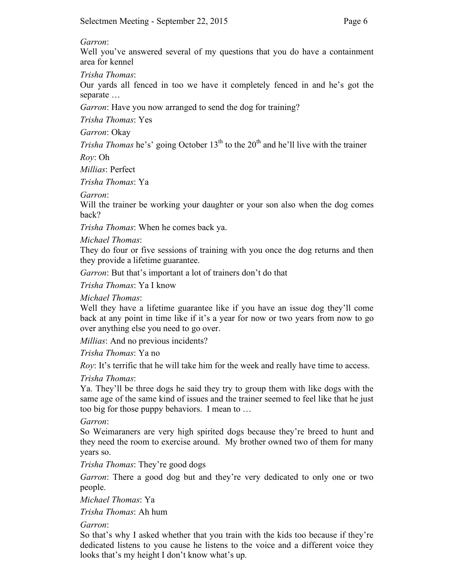#### *Garron*:

Well you've answered several of my questions that you do have a containment area for kennel

*Trisha Thomas*:

Our yards all fenced in too we have it completely fenced in and he's got the separate …

*Garron*: Have you now arranged to send the dog for training?

*Trisha Thomas*: Yes

*Garron*: Okay

*Trisha Thomas* he's' going October  $13<sup>th</sup>$  to the  $20<sup>th</sup>$  and he'll live with the trainer

*Roy*: Oh

*Millias*: Perfect

*Trisha Thomas*: Ya

*Garron*:

Will the trainer be working your daughter or your son also when the dog comes back?

*Trisha Thomas*: When he comes back ya.

*Michael Thomas*:

They do four or five sessions of training with you once the dog returns and then they provide a lifetime guarantee.

*Garron*: But that's important a lot of trainers don't do that

*Trisha Thomas*: Ya I know

*Michael Thomas*:

Well they have a lifetime guarantee like if you have an issue dog they'll come back at any point in time like if it's a year for now or two years from now to go over anything else you need to go over.

*Millias*: And no previous incidents?

*Trisha Thomas*: Ya no

*Roy*: It's terrific that he will take him for the week and really have time to access.

*Trisha Thomas*:

Ya. They'll be three dogs he said they try to group them with like dogs with the same age of the same kind of issues and the trainer seemed to feel like that he just too big for those puppy behaviors. I mean to …

*Garron*:

So Weimaraners are very high spirited dogs because they're breed to hunt and they need the room to exercise around. My brother owned two of them for many years so.

*Trisha Thomas*: They're good dogs

*Garron*: There a good dog but and they're very dedicated to only one or two people.

*Michael Thomas*: Ya

*Trisha Thomas*: Ah hum

*Garron*:

So that's why I asked whether that you train with the kids too because if they're dedicated listens to you cause he listens to the voice and a different voice they looks that's my height I don't know what's up.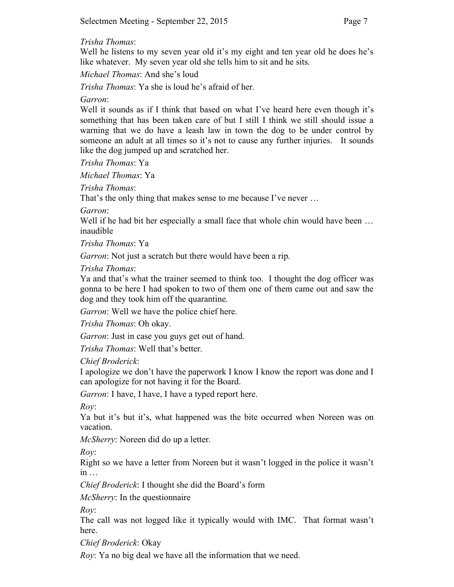### *Trisha Thomas*:

Well he listens to my seven year old it's my eight and ten year old he does he's like whatever. My seven year old she tells him to sit and he sits.

*Michael Thomas*: And she's loud

*Trisha Thomas*: Ya she is loud he's afraid of her.

*Garron*:

Well it sounds as if I think that based on what I've heard here even though it's something that has been taken care of but I still I think we still should issue a warning that we do have a leash law in town the dog to be under control by someone an adult at all times so it's not to cause any further injuries. It sounds like the dog jumped up and scratched her.

*Trisha Thomas*: Ya

*Michael Thomas*: Ya

*Trisha Thomas*:

That's the only thing that makes sense to me because I've never …

*Garron*:

Well if he had bit her especially a small face that whole chin would have been ... inaudible

*Trisha Thomas*: Ya

*Garron*: Not just a scratch but there would have been a rip.

*Trisha Thomas*:

Ya and that's what the trainer seemed to think too. I thought the dog officer was gonna to be here I had spoken to two of them one of them came out and saw the dog and they took him off the quarantine.

*Garron*: Well we have the police chief here.

*Trisha Thomas*: Oh okay.

*Garron*: Just in case you guys get out of hand.

*Trisha Thomas*: Well that's better.

*Chief Broderick*:

I apologize we don't have the paperwork I know I know the report was done and I can apologize for not having it for the Board.

*Garron*: I have, I have, I have a typed report here.

*Roy*:

Ya but it's but it's, what happened was the bite occurred when Noreen was on vacation.

*McSherry*: Noreen did do up a letter.

*Roy*:

Right so we have a letter from Noreen but it wasn't logged in the police it wasn't in …

*Chief Broderick*: I thought she did the Board's form

*McSherry*: In the questionnaire

*Roy*:

The call was not logged like it typically would with IMC. That format wasn't here.

*Chief Broderick*: Okay

*Roy*: Ya no big deal we have all the information that we need.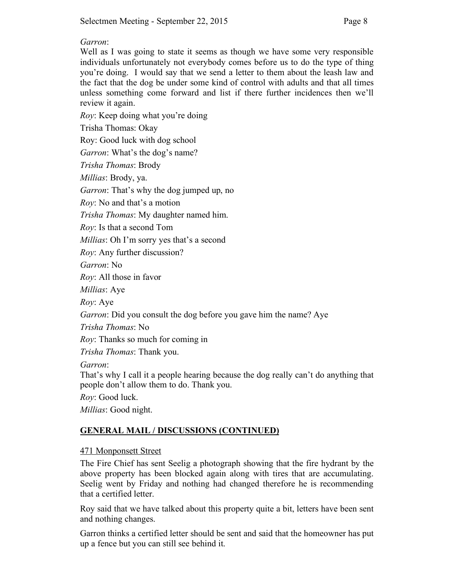## *Garron*:

Well as I was going to state it seems as though we have some very responsible individuals unfortunately not everybody comes before us to do the type of thing you're doing. I would say that we send a letter to them about the leash law and the fact that the dog be under some kind of control with adults and that all times unless something come forward and list if there further incidences then we'll review it again.

*Roy*: Keep doing what you're doing Trisha Thomas: Okay Roy: Good luck with dog school *Garron*: What's the dog's name? *Trisha Thomas*: Brody *Millias*: Brody, ya. *Garron*: That's why the dog jumped up, no *Roy*: No and that's a motion *Trisha Thomas*: My daughter named him. *Roy*: Is that a second Tom *Millias*: Oh I'm sorry yes that's a second *Roy*: Any further discussion? *Garron*: No *Roy*: All those in favor *Millias*: Aye *Roy*: Aye *Garron*: Did you consult the dog before you gave him the name? Aye *Trisha Thomas*: No *Roy*: Thanks so much for coming in *Trisha Thomas*: Thank you. *Garron*: That's why I call it a people hearing because the dog really can't do anything that people don't allow them to do. Thank you. *Roy*: Good luck. *Millias*: Good night.

# **GENERAL MAIL / DISCUSSIONS (CONTINUED)**

# 471 Monponsett Street

The Fire Chief has sent Seelig a photograph showing that the fire hydrant by the above property has been blocked again along with tires that are accumulating. Seelig went by Friday and nothing had changed therefore he is recommending that a certified letter.

Roy said that we have talked about this property quite a bit, letters have been sent and nothing changes.

Garron thinks a certified letter should be sent and said that the homeowner has put up a fence but you can still see behind it.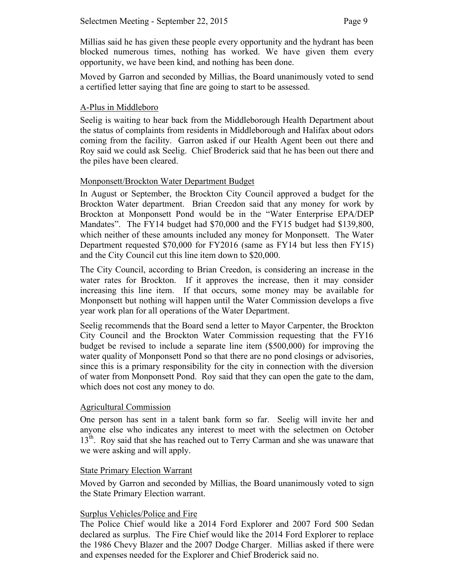Millias said he has given these people every opportunity and the hydrant has been blocked numerous times, nothing has worked. We have given them every opportunity, we have been kind, and nothing has been done.

Moved by Garron and seconded by Millias, the Board unanimously voted to send a certified letter saying that fine are going to start to be assessed.

# A-Plus in Middleboro

Seelig is waiting to hear back from the Middleborough Health Department about the status of complaints from residents in Middleborough and Halifax about odors coming from the facility. Garron asked if our Health Agent been out there and Roy said we could ask Seelig. Chief Broderick said that he has been out there and the piles have been cleared.

## Monponsett/Brockton Water Department Budget

In August or September, the Brockton City Council approved a budget for the Brockton Water department. Brian Creedon said that any money for work by Brockton at Monponsett Pond would be in the "Water Enterprise EPA/DEP Mandates". The FY14 budget had \$70,000 and the FY15 budget had \$139,800, which neither of these amounts included any money for Monponsett. The Water Department requested \$70,000 for FY2016 (same as FY14 but less then FY15) and the City Council cut this line item down to \$20,000.

The City Council, according to Brian Creedon, is considering an increase in the water rates for Brockton. If it approves the increase, then it may consider increasing this line item. If that occurs, some money may be available for Monponsett but nothing will happen until the Water Commission develops a five year work plan for all operations of the Water Department.

Seelig recommends that the Board send a letter to Mayor Carpenter, the Brockton City Council and the Brockton Water Commission requesting that the FY16 budget be revised to include a separate line item (\$500,000) for improving the water quality of Monponsett Pond so that there are no pond closings or advisories, since this is a primary responsibility for the city in connection with the diversion of water from Monponsett Pond. Roy said that they can open the gate to the dam, which does not cost any money to do.

### Agricultural Commission

One person has sent in a talent bank form so far. Seelig will invite her and anyone else who indicates any interest to meet with the selectmen on October 13<sup>th</sup>. Roy said that she has reached out to Terry Carman and she was unaware that we were asking and will apply.

### State Primary Election Warrant

Moved by Garron and seconded by Millias, the Board unanimously voted to sign the State Primary Election warrant.

### Surplus Vehicles/Police and Fire

The Police Chief would like a 2014 Ford Explorer and 2007 Ford 500 Sedan declared as surplus. The Fire Chief would like the 2014 Ford Explorer to replace the 1986 Chevy Blazer and the 2007 Dodge Charger. Millias asked if there were and expenses needed for the Explorer and Chief Broderick said no.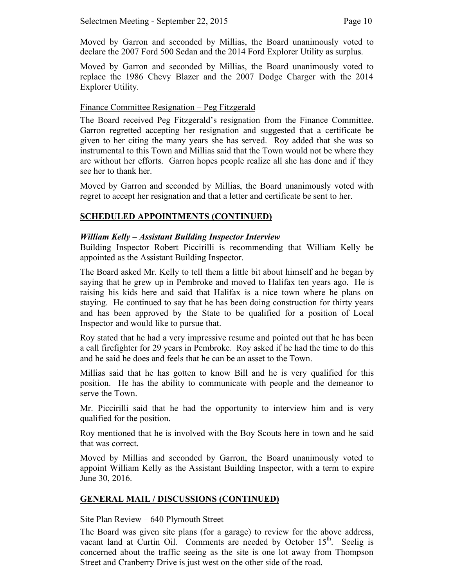Moved by Garron and seconded by Millias, the Board unanimously voted to declare the 2007 Ford 500 Sedan and the 2014 Ford Explorer Utility as surplus.

Moved by Garron and seconded by Millias, the Board unanimously voted to replace the 1986 Chevy Blazer and the 2007 Dodge Charger with the 2014 Explorer Utility.

### Finance Committee Resignation – Peg Fitzgerald

The Board received Peg Fitzgerald's resignation from the Finance Committee. Garron regretted accepting her resignation and suggested that a certificate be given to her citing the many years she has served. Roy added that she was so instrumental to this Town and Millias said that the Town would not be where they are without her efforts. Garron hopes people realize all she has done and if they see her to thank her.

Moved by Garron and seconded by Millias, the Board unanimously voted with regret to accept her resignation and that a letter and certificate be sent to her.

# **SCHEDULED APPOINTMENTS (CONTINUED)**

## *William Kelly – Assistant Building Inspector Interview*

Building Inspector Robert Piccirilli is recommending that William Kelly be appointed as the Assistant Building Inspector.

The Board asked Mr. Kelly to tell them a little bit about himself and he began by saying that he grew up in Pembroke and moved to Halifax ten years ago. He is raising his kids here and said that Halifax is a nice town where he plans on staying. He continued to say that he has been doing construction for thirty years and has been approved by the State to be qualified for a position of Local Inspector and would like to pursue that.

Roy stated that he had a very impressive resume and pointed out that he has been a call firefighter for 29 years in Pembroke. Roy asked if he had the time to do this and he said he does and feels that he can be an asset to the Town.

Millias said that he has gotten to know Bill and he is very qualified for this position. He has the ability to communicate with people and the demeanor to serve the Town.

Mr. Piccirilli said that he had the opportunity to interview him and is very qualified for the position.

Roy mentioned that he is involved with the Boy Scouts here in town and he said that was correct.

Moved by Millias and seconded by Garron, the Board unanimously voted to appoint William Kelly as the Assistant Building Inspector, with a term to expire June 30, 2016.

# **GENERAL MAIL / DISCUSSIONS (CONTINUED)**

### Site Plan Review – 640 Plymouth Street

The Board was given site plans (for a garage) to review for the above address, vacant land at Curtin Oil. Comments are needed by October 15<sup>th</sup>. Seelig is concerned about the traffic seeing as the site is one lot away from Thompson Street and Cranberry Drive is just west on the other side of the road.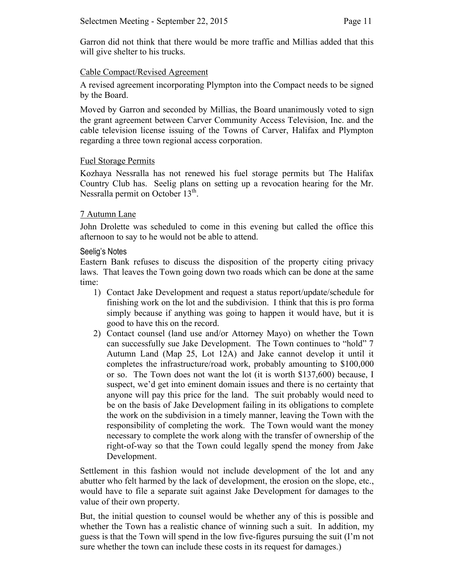Garron did not think that there would be more traffic and Millias added that this will give shelter to his trucks.

# Cable Compact/Revised Agreement

A revised agreement incorporating Plympton into the Compact needs to be signed by the Board.

Moved by Garron and seconded by Millias, the Board unanimously voted to sign the grant agreement between Carver Community Access Television, Inc. and the cable television license issuing of the Towns of Carver, Halifax and Plympton regarding a three town regional access corporation.

## Fuel Storage Permits

Kozhaya Nessralla has not renewed his fuel storage permits but The Halifax Country Club has. Seelig plans on setting up a revocation hearing for the Mr. Nessralla permit on October  $13<sup>th</sup>$ .

## 7 Autumn Lane

John Drolette was scheduled to come in this evening but called the office this afternoon to say to he would not be able to attend.

### Seelig's Notes

Eastern Bank refuses to discuss the disposition of the property citing privacy laws. That leaves the Town going down two roads which can be done at the same time:

- 1) Contact Jake Development and request a status report/update/schedule for finishing work on the lot and the subdivision. I think that this is pro forma simply because if anything was going to happen it would have, but it is good to have this on the record.
- 2) Contact counsel (land use and/or Attorney Mayo) on whether the Town can successfully sue Jake Development. The Town continues to "hold" 7 Autumn Land (Map 25, Lot 12A) and Jake cannot develop it until it completes the infrastructure/road work, probably amounting to \$100,000 or so. The Town does not want the lot (it is worth \$137,600) because, I suspect, we'd get into eminent domain issues and there is no certainty that anyone will pay this price for the land. The suit probably would need to be on the basis of Jake Development failing in its obligations to complete the work on the subdivision in a timely manner, leaving the Town with the responsibility of completing the work. The Town would want the money necessary to complete the work along with the transfer of ownership of the right-of-way so that the Town could legally spend the money from Jake Development.

Settlement in this fashion would not include development of the lot and any abutter who felt harmed by the lack of development, the erosion on the slope, etc., would have to file a separate suit against Jake Development for damages to the value of their own property.

But, the initial question to counsel would be whether any of this is possible and whether the Town has a realistic chance of winning such a suit. In addition, my guess is that the Town will spend in the low five-figures pursuing the suit (I'm not sure whether the town can include these costs in its request for damages.)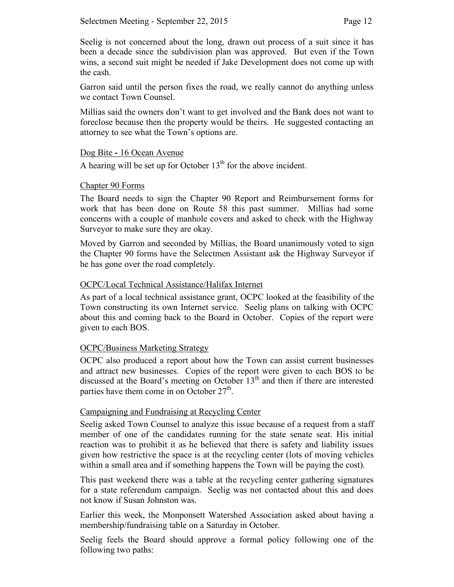Seelig is not concerned about the long, drawn out process of a suit since it has been a decade since the subdivision plan was approved. But even if the Town wins, a second suit might be needed if Jake Development does not come up with the cash.

Garron said until the person fixes the road, we really cannot do anything unless we contact Town Counsel.

Millias said the owners don't want to get involved and the Bank does not want to foreclose because then the property would be theirs. He suggested contacting an attorney to see what the Town's options are.

### Dog Bite **-** 16 Ocean Avenue

A hearing will be set up for October  $13<sup>th</sup>$  for the above incident.

## Chapter 90 Forms

The Board needs to sign the Chapter 90 Report and Reimbursement forms for work that has been done on Route 58 this past summer. Millias had some concerns with a couple of manhole covers and asked to check with the Highway Surveyor to make sure they are okay.

Moved by Garron and seconded by Millias, the Board unanimously voted to sign the Chapter 90 forms have the Selectmen Assistant ask the Highway Surveyor if he has gone over the road completely.

## OCPC/Local Technical Assistance/Halifax Internet

As part of a local technical assistance grant, OCPC looked at the feasibility of the Town constructing its own Internet service. Seelig plans on talking with OCPC about this and coming back to the Board in October. Copies of the report were given to each BOS.

# OCPC/Business Marketing Strategy

OCPC also produced a report about how the Town can assist current businesses and attract new businesses. Copies of the report were given to each BOS to be discussed at the Board's meeting on October  $13<sup>th</sup>$  and then if there are interested parties have them come in on October  $27<sup>th</sup>$ .

# Campaigning and Fundraising at Recycling Center

Seelig asked Town Counsel to analyze this issue because of a request from a staff member of one of the candidates running for the state senate seat. His initial reaction was to prohibit it as he believed that there is safety and liability issues given how restrictive the space is at the recycling center (lots of moving vehicles within a small area and if something happens the Town will be paying the cost).

This past weekend there was a table at the recycling center gathering signatures for a state referendum campaign. Seelig was not contacted about this and does not know if Susan Johnston was.

Earlier this week, the Monponsett Watershed Association asked about having a membership/fundraising table on a Saturday in October.

Seelig feels the Board should approve a formal policy following one of the following two paths: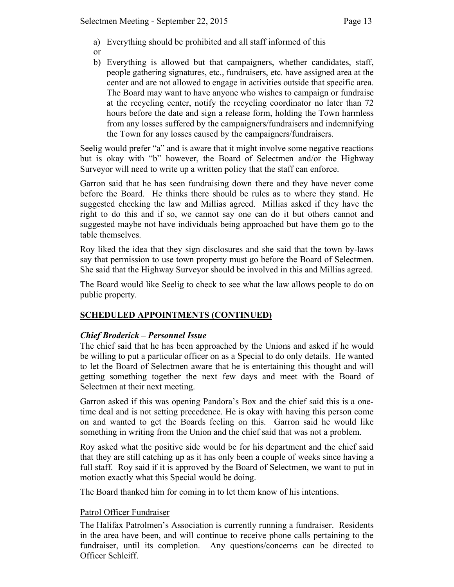- a) Everything should be prohibited and all staff informed of this
- or
- b) Everything is allowed but that campaigners, whether candidates, staff, people gathering signatures, etc., fundraisers, etc. have assigned area at the center and are not allowed to engage in activities outside that specific area. The Board may want to have anyone who wishes to campaign or fundraise at the recycling center, notify the recycling coordinator no later than 72 hours before the date and sign a release form, holding the Town harmless from any losses suffered by the campaigners/fundraisers and indemnifying the Town for any losses caused by the campaigners/fundraisers.

Seelig would prefer "a" and is aware that it might involve some negative reactions but is okay with "b" however, the Board of Selectmen and/or the Highway Surveyor will need to write up a written policy that the staff can enforce.

Garron said that he has seen fundraising down there and they have never come before the Board. He thinks there should be rules as to where they stand. He suggested checking the law and Millias agreed. Millias asked if they have the right to do this and if so, we cannot say one can do it but others cannot and suggested maybe not have individuals being approached but have them go to the table themselves.

Roy liked the idea that they sign disclosures and she said that the town by-laws say that permission to use town property must go before the Board of Selectmen. She said that the Highway Surveyor should be involved in this and Millias agreed.

The Board would like Seelig to check to see what the law allows people to do on public property.

# **SCHEDULED APPOINTMENTS (CONTINUED)**

# *Chief Broderick – Personnel Issue*

The chief said that he has been approached by the Unions and asked if he would be willing to put a particular officer on as a Special to do only details. He wanted to let the Board of Selectmen aware that he is entertaining this thought and will getting something together the next few days and meet with the Board of Selectmen at their next meeting.

Garron asked if this was opening Pandora's Box and the chief said this is a onetime deal and is not setting precedence. He is okay with having this person come on and wanted to get the Boards feeling on this. Garron said he would like something in writing from the Union and the chief said that was not a problem.

Roy asked what the positive side would be for his department and the chief said that they are still catching up as it has only been a couple of weeks since having a full staff. Roy said if it is approved by the Board of Selectmen, we want to put in motion exactly what this Special would be doing.

The Board thanked him for coming in to let them know of his intentions.

### Patrol Officer Fundraiser

The Halifax Patrolmen's Association is currently running a fundraiser. Residents in the area have been, and will continue to receive phone calls pertaining to the fundraiser, until its completion. Any questions/concerns can be directed to Officer Schleiff.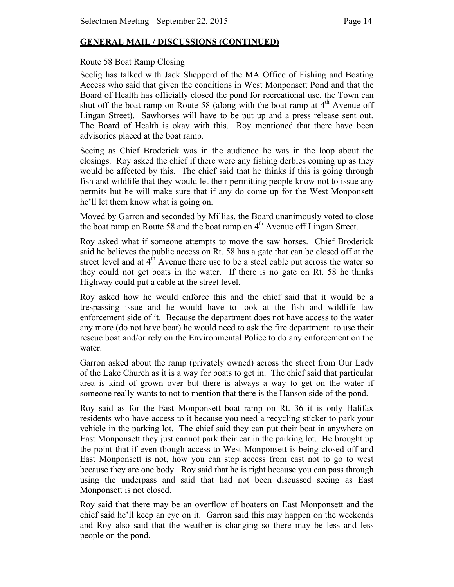# **GENERAL MAIL / DISCUSSIONS (CONTINUED)**

## Route 58 Boat Ramp Closing

Seelig has talked with Jack Shepperd of the MA Office of Fishing and Boating Access who said that given the conditions in West Monponsett Pond and that the Board of Health has officially closed the pond for recreational use, the Town can shut off the boat ramp on Route 58 (along with the boat ramp at  $4<sup>th</sup>$  Avenue off Lingan Street). Sawhorses will have to be put up and a press release sent out. The Board of Health is okay with this. Roy mentioned that there have been advisories placed at the boat ramp.

Seeing as Chief Broderick was in the audience he was in the loop about the closings. Roy asked the chief if there were any fishing derbies coming up as they would be affected by this. The chief said that he thinks if this is going through fish and wildlife that they would let their permitting people know not to issue any permits but he will make sure that if any do come up for the West Monponsett he'll let them know what is going on.

Moved by Garron and seconded by Millias, the Board unanimously voted to close the boat ramp on Route 58 and the boat ramp on  $4<sup>th</sup>$  Avenue off Lingan Street.

Roy asked what if someone attempts to move the saw horses. Chief Broderick said he believes the public access on Rt. 58 has a gate that can be closed off at the street level and at  $4<sup>th</sup>$  Avenue there use to be a steel cable put across the water so they could not get boats in the water. If there is no gate on Rt. 58 he thinks Highway could put a cable at the street level.

Roy asked how he would enforce this and the chief said that it would be a trespassing issue and he would have to look at the fish and wildlife law enforcement side of it. Because the department does not have access to the water any more (do not have boat) he would need to ask the fire department to use their rescue boat and/or rely on the Environmental Police to do any enforcement on the water.

Garron asked about the ramp (privately owned) across the street from Our Lady of the Lake Church as it is a way for boats to get in. The chief said that particular area is kind of grown over but there is always a way to get on the water if someone really wants to not to mention that there is the Hanson side of the pond.

Roy said as for the East Monponsett boat ramp on Rt. 36 it is only Halifax residents who have access to it because you need a recycling sticker to park your vehicle in the parking lot. The chief said they can put their boat in anywhere on East Monponsett they just cannot park their car in the parking lot. He brought up the point that if even though access to West Monponsett is being closed off and East Monponsett is not, how you can stop access from east not to go to west because they are one body. Roy said that he is right because you can pass through using the underpass and said that had not been discussed seeing as East Monponsett is not closed.

Roy said that there may be an overflow of boaters on East Monponsett and the chief said he'll keep an eye on it. Garron said this may happen on the weekends and Roy also said that the weather is changing so there may be less and less people on the pond.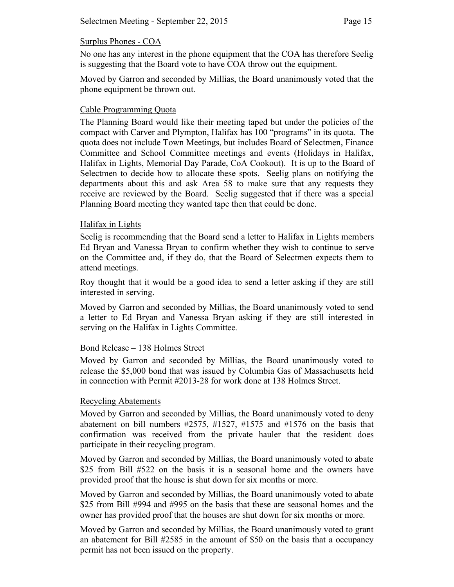### Surplus Phones - COA

No one has any interest in the phone equipment that the COA has therefore Seelig is suggesting that the Board vote to have COA throw out the equipment.

Moved by Garron and seconded by Millias, the Board unanimously voted that the phone equipment be thrown out.

## Cable Programming Quota

The Planning Board would like their meeting taped but under the policies of the compact with Carver and Plympton, Halifax has 100 "programs" in its quota. The quota does not include Town Meetings, but includes Board of Selectmen, Finance Committee and School Committee meetings and events (Holidays in Halifax, Halifax in Lights, Memorial Day Parade, CoA Cookout). It is up to the Board of Selectmen to decide how to allocate these spots. Seelig plans on notifying the departments about this and ask Area 58 to make sure that any requests they receive are reviewed by the Board. Seelig suggested that if there was a special Planning Board meeting they wanted tape then that could be done.

### Halifax in Lights

Seelig is recommending that the Board send a letter to Halifax in Lights members Ed Bryan and Vanessa Bryan to confirm whether they wish to continue to serve on the Committee and, if they do, that the Board of Selectmen expects them to attend meetings.

Roy thought that it would be a good idea to send a letter asking if they are still interested in serving.

Moved by Garron and seconded by Millias, the Board unanimously voted to send a letter to Ed Bryan and Vanessa Bryan asking if they are still interested in serving on the Halifax in Lights Committee.

### Bond Release – 138 Holmes Street

Moved by Garron and seconded by Millias, the Board unanimously voted to release the \$5,000 bond that was issued by Columbia Gas of Massachusetts held in connection with Permit #2013-28 for work done at 138 Holmes Street.

# Recycling Abatements

Moved by Garron and seconded by Millias, the Board unanimously voted to deny abatement on bill numbers #2575, #1527, #1575 and #1576 on the basis that confirmation was received from the private hauler that the resident does participate in their recycling program.

Moved by Garron and seconded by Millias, the Board unanimously voted to abate \$25 from Bill #522 on the basis it is a seasonal home and the owners have provided proof that the house is shut down for six months or more.

Moved by Garron and seconded by Millias, the Board unanimously voted to abate \$25 from Bill #994 and #995 on the basis that these are seasonal homes and the owner has provided proof that the houses are shut down for six months or more.

Moved by Garron and seconded by Millias, the Board unanimously voted to grant an abatement for Bill #2585 in the amount of \$50 on the basis that a occupancy permit has not been issued on the property.